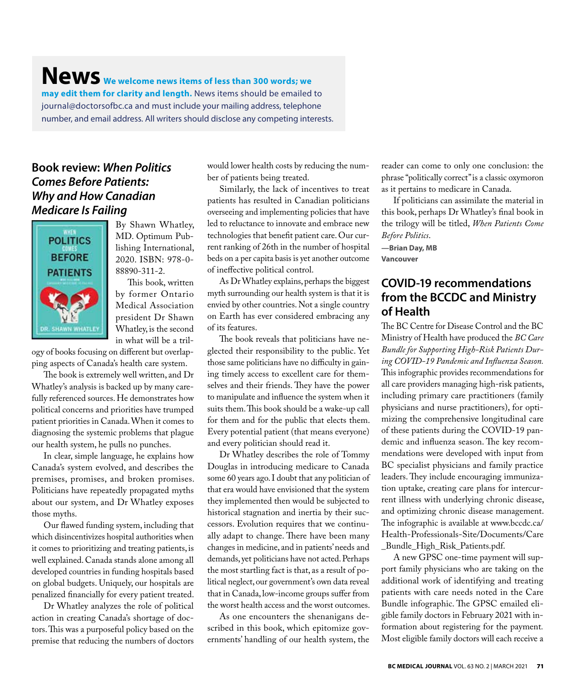# **News We welcome news items of less than 300 words; we may edit them for clarity and length.** News items should be emailed to journal@doctorsofbc.ca and must include your mailing address, telephone number, and email address. All writers should disclose any competing interests.

### **Book review:** *When Politics Comes Before Patients: Why and How Canadian Medicare Is Failing*



By Shawn Whatley, MD. Optimum Publishing International, 2020. ISBN: 978-0- 88890-311-2.

This book, written by former Ontario Medical Association president Dr Shawn Whatley, is the second in what will be a tril-

ogy of books focusing on different but overlapping aspects of Canada's health care system.

The book is extremely well written, and Dr Whatley's analysis is backed up by many carefully referenced sources. He demonstrates how political concerns and priorities have trumped patient priorities in Canada. When it comes to diagnosing the systemic problems that plague our health system, he pulls no punches.

In clear, simple language, he explains how Canada's system evolved, and describes the premises, promises, and broken promises. Politicians have repeatedly propagated myths about our system, and Dr Whatley exposes those myths.

Our flawed funding system, including that which disincentivizes hospital authorities when it comes to prioritizing and treating patients, is well explained. Canada stands alone among all developed countries in funding hospitals based on global budgets. Uniquely, our hospitals are penalized financially for every patient treated.

Dr Whatley analyzes the role of political action in creating Canada's shortage of doctors. This was a purposeful policy based on the premise that reducing the numbers of doctors

would lower health costs by reducing the number of patients being treated.

Similarly, the lack of incentives to treat patients has resulted in Canadian politicians overseeing and implementing policies that have led to reluctance to innovate and embrace new technologies that benefit patient care. Our current ranking of 26th in the number of hospital beds on a per capita basis is yet another outcome of ineffective political control.

As Dr Whatley explains, perhaps the biggest myth surrounding our health system is that it is envied by other countries. Not a single country on Earth has ever considered embracing any of its features.

The book reveals that politicians have neglected their responsibility to the public. Yet those same politicians have no difficulty in gaining timely access to excellent care for themselves and their friends. They have the power to manipulate and influence the system when it suits them. This book should be a wake-up call for them and for the public that elects them. Every potential patient (that means everyone) and every politician should read it.

Dr Whatley describes the role of Tommy Douglas in introducing medicare to Canada some 60 years ago. I doubt that any politician of that era would have envisioned that the system they implemented then would be subjected to historical stagnation and inertia by their successors. Evolution requires that we continually adapt to change. There have been many changes in medicine, and in patients' needs and demands, yet politicians have not acted. Perhaps the most startling fact is that, as a result of political neglect, our government's own data reveal that in Canada, low-income groups suffer from the worst health access and the worst outcomes.

As one encounters the shenanigans described in this book, which epitomize governments' handling of our health system, the reader can come to only one conclusion: the phrase "politically correct" is a classic oxymoron as it pertains to medicare in Canada.

If politicians can assimilate the material in this book, perhaps Dr Whatley's final book in the trilogy will be titled, *When Patients Come Before Politics*.

**—Brian Day, MB Vancouver**

#### **COVID-19 recommendations from the BCCDC and Ministry of Health**

The BC Centre for Disease Control and the BC Ministry of Health have produced the *BC Care Bundle for Supporting High-Risk Patients During COVID-19 Pandemic and Influenza Season.*  This infographic provides recommendations for all care providers managing high-risk patients, including primary care practitioners (family physicians and nurse practitioners), for optimizing the comprehensive longitudinal care of these patients during the COVID-19 pandemic and influenza season. The key recommendations were developed with input from BC specialist physicians and family practice leaders. They include encouraging immunization uptake, creating care plans for intercurrent illness with underlying chronic disease, and optimizing chronic disease management. The infographic is available at www.bccdc.ca/ Health-Professionals-Site/Documents/Care \_Bundle\_High\_Risk\_Patients.pdf.

A new GPSC one-time payment will support family physicians who are taking on the additional work of identifying and treating patients with care needs noted in the Care Bundle infographic. The GPSC emailed eligible family doctors in February 2021 with information about registering for the payment*.* Most eligible family doctors will each receive a